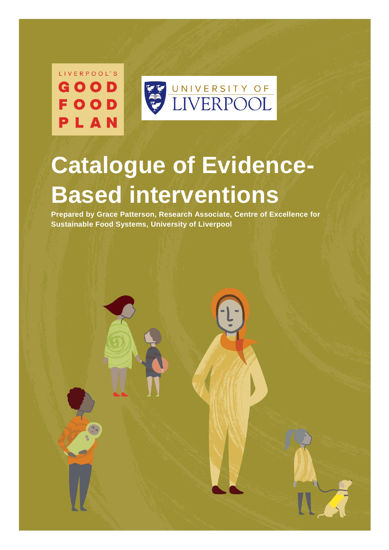LIVERPOOL'S GOOD  $00D$ F PLAN



# **Catalogue of Evidence-Based interventions**

**Prepared by Grace Patterson, Research Associate, Centre of Excellence for Sustainable Food Systems, University of Liverpool**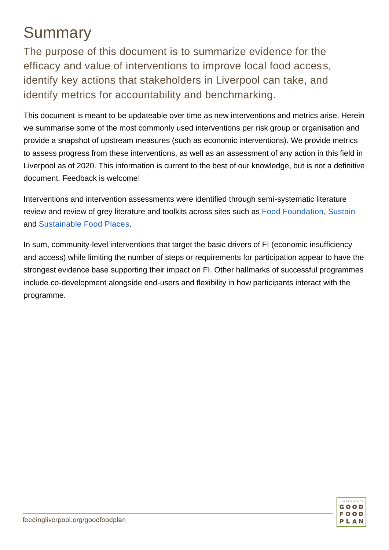## Summary

The purpose of this document is to summarize evidence for the efficacy and value of interventions to improve local food access, identify key actions that stakeholders in Liverpool can take, and identify metrics for accountability and benchmarking.

This document is meant to be updateable over time as new interventions and metrics arise. Herein we summarise some of the most commonly used interventions per risk group or organisation and provide a snapshot of upstream measures (such as economic interventions). We provide metrics to assess progress from these interventions, as well as an assessment of any action in this field in Liverpool as of 2020. This information is current to the best of our knowledge, but is not a definitive document. Feedback is welcome!

Interventions and intervention assessments were identified through semi-systematic literature review and review of grey literature and toolkits across sites such as [Food Foundation,](https://foodfoundation.org.uk/publications/) [Sustain](https://www.sustainweb.org/) and [Sustainable Food Places.](https://www.sustainablefoodplaces.org/)

In sum, community-level interventions that target the basic drivers of FI (economic insufficiency and access) while limiting the number of steps or requirements for participation appear to have the strongest evidence base supporting their impact on FI. Other hallmarks of successful programmes include co-development alongside end-users and flexibility in how participants interact with the programme.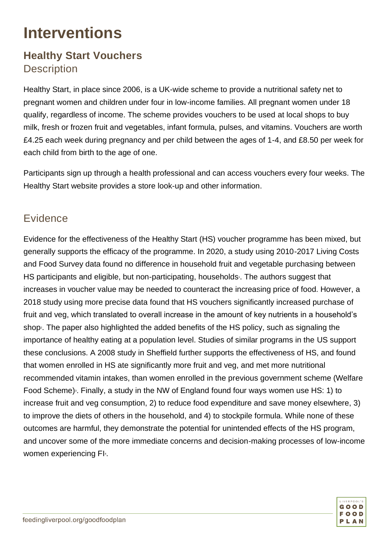## **Interventions**

#### **Healthy Start Vouchers Description**

Healthy Start, in place since 2006, is a UK-wide scheme to provide a nutritional safety net to pregnant women and children under four in low-income families. All pregnant women under 18 qualify, regardless of income. The scheme provides vouchers to be used at local shops to buy milk, fresh or frozen fruit and vegetables, infant formula, pulses, and vitamins. Vouchers are worth £4.25 each week during pregnancy and per child between the ages of 1-4, and £8.50 per week for each child from birth to the age of one.

Participants sign up through a health professional and can access vouchers every four weeks. The Healthy Start website provides a store look-up and other information.

#### **Evidence**

Evidence for the effectiveness of the Healthy Start (HS) voucher programme has been mixed, but generally supports the efficacy of the programme. In 2020, a study using 2010-2017 Living Costs and Food Survey data found no difference in household fruit and vegetable purchasing between HS participants and eligible, but non-participating, households<sup>1</sup>. The authors suggest that increases in voucher value may be needed to counteract the increasing price of food. However, a 2018 study using more precise data found that HS vouchers significantly increased purchase of fruit and veg, which translated to overall increase in the amount of key nutrients in a household's shop<sub>2</sub>. The paper also highlighted the added benefits of the HS policy, such as signaling the importance of healthy eating at a population level. Studies of similar programs in the US support these conclusions. A 2008 study in Sheffield further supports the effectiveness of HS, and found that women enrolled in HS ate significantly more fruit and veg, and met more nutritional recommended vitamin intakes, than women enrolled in the previous government scheme (Welfare Food Scheme)<sup>3</sup>. Finally, a study in the NW of England found four ways women use HS: 1) to increase fruit and veg consumption, 2) to reduce food expenditure and save money elsewhere, 3) to improve the diets of others in the household, and 4) to stockpile formula. While none of these outcomes are harmful, they demonstrate the potential for unintended effects of the HS program, and uncover some of the more immediate concerns and decision-making processes of low-income women experiencing FI<sup>4</sup>.

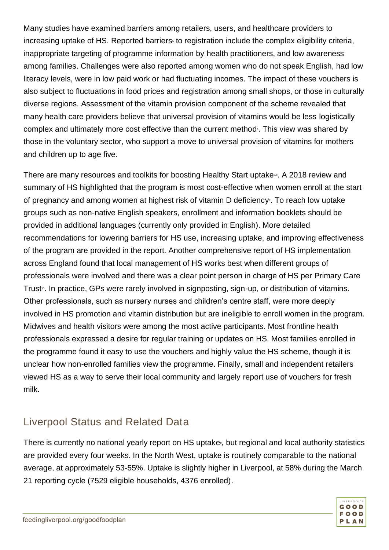Many studies have examined barriers among retailers, users, and healthcare providers to increasing uptake of HS. Reported barriers to registration include the complex eligibility criteria, inappropriate targeting of programme information by health practitioners, and low awareness among families. Challenges were also reported among women who do not speak English, had low literacy levels, were in low paid work or had fluctuating incomes. The impact of these vouchers is also subject to fluctuations in food prices and registration among small shops, or those in culturally diverse regions. Assessment of the vitamin provision component of the scheme revealed that many health care providers believe that universal provision of vitamins would be less logistically complex and ultimately more cost effective than the current method f. This view was shared by those in the voluntary sector, who support a move to universal provision of vitamins for mothers and children up to age five.

There are many resources and toolkits for boosting Healthy Start uptake<sup>78</sup>. A 2018 review and summary of HS highlighted that the program is most cost-effective when women enroll at the start of pregnancy and among women at highest risk of vitamin D deficiency<sup>9</sup>. To reach low uptake groups such as non-native English speakers, enrollment and information booklets should be provided in additional languages (currently only provided in English). More detailed recommendations for lowering barriers for HS use, increasing uptake, and improving effectiveness of the program are provided in the report. Another comprehensive report of HS implementation across England found that local management of HS works best when different groups of professionals were involved and there was a clear point person in charge of HS per Primary Care Trust <sup>10</sup>. In practice, GPs were rarely involved in signposting, sign-up, or distribution of vitamins. Other professionals, such as nursery nurses and children's centre staff, were more deeply involved in HS promotion and vitamin distribution but are ineligible to enroll women in the program. Midwives and health visitors were among the most active participants. Most frontline health professionals expressed a desire for regular training or updates on HS. Most families enrolled in the programme found it easy to use the vouchers and highly value the HS scheme, though it is unclear how non-enrolled families view the programme. Finally, small and independent retailers viewed HS as a way to serve their local community and largely report use of vouchers for fresh milk.

#### Liverpool Status and Related Data

There is currently no national yearly report on HS uptake<sup>®</sup>, but regional and local authority statistics are provided every four weeks. In the North West, uptake is routinely comparable to the national average, at approximately 53-55%. Uptake is slightly higher in Liverpool, at 58% during the March 21 reporting cycle (7529 eligible households, 4376 enrolled).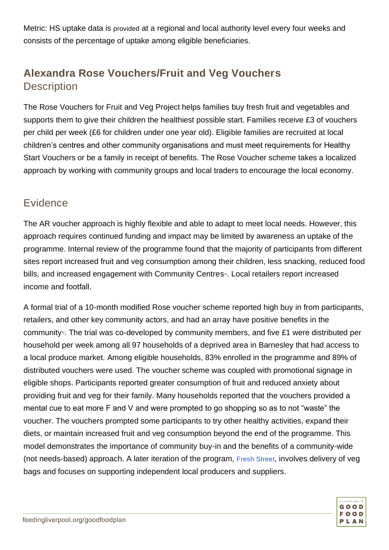Metric: HS uptake data is provided at a regional and local authority level every four weeks and consists of the percentag[e of upta](https://www.healthystart.nhs.uk/healthcare-professionals/)ke among eligible beneficiaries.

#### **Alexandra Rose Vouchers/Fruit and Veg Vouchers Description**

The Rose Vouchers for Fruit and Veg Project helps families buy fresh fruit and vegetables and supports them to give their children the healthiest possible start. Families receive £3 of vouchers per child per week (£6 for children under one year old). Eligible families are recruited at local children's centres and other community organisations and must meet requirements for Healthy Start Vouchers or be a family in receipt of benefits. The Rose Voucher scheme takes a localized approach by working with community groups and local traders to encourage the local economy.

#### **Evidence**

The AR voucher approach is highly flexible and able to adapt to meet local needs. However, this approach requires continued funding and impact may be limited by awareness an uptake of the programme. Internal review of the programme found that the majority of participants from different sites report increased fruit and veg consumption among their children, less snacking, reduced food bills, and increased engagement with Community Centres<sup>11</sup>. Local retailers report increased income and footfall.

A formal trial of a 10-month modified Rose voucher scheme reported high buy in from participants, retailers, and other key community actors, and had an array have positive benefits in the community<sup>2</sup>. The trial was co-developed by community members, and five £1 were distributed per household per week among all 97 households of a deprived area in Barnesley that had access to a local produce market. Among eligible households, 83% enrolled in the programme and 89% of distributed vouchers were used. The voucher scheme was coupled with promotional signage in eligible shops. Participants reported greater consumption of fruit and reduced anxiety about providing fruit and veg for their family. Many households reported that the vouchers provided a mental cue to eat more F and V and were prompted to go shopping so as to not "waste" the voucher. The vouchers prompted some participants to try other healthy activities, expand their diets, or maintain increased fruit and veg consumption beyond the end of the programme. This model demonstrates the importance of community buy-in and the benefits of a community-wide (not needs-based) approach. A later iteration of the program, [Fresh Street](https://www.sheffield.ac.uk/scharr/research/themes/nutrition/fresh-street), involves delivery of veg bags and focuses on supporting independent local producers and suppliers.

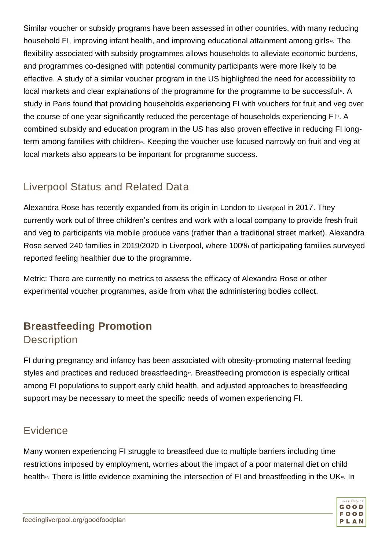Similar voucher or subsidy programs have been assessed in other countries, with many reducing household FI, improving infant health, and improving educational attainment among girls<sup>5</sup>. The flexibility associated with subsidy programmes allows households to alleviate economic burdens, and programmes co-designed with potential community participants were more likely to be effective. A study of a similar voucher program in the US highlighted the need for accessibility to local markets and clear explanations of the programme for the programme to be successful<sup>14</sup>. A study in Paris found that providing households experiencing FI with vouchers for fruit and veg over the course of one year significantly reduced the percentage of households experiencing FI<sup>®</sup>. A combined subsidy and education program in the US has also proven effective in reducing FI longterm among families with children<sup>®</sup>. Keeping the voucher use focused narrowly on fruit and veg at local markets also appears to be important for programme success.

#### Liverpool Status and Related Data

Alexandra Rose has recently expanded from its origin in London to [Liverpool](https://www.alexandrarose.org.uk/liverpool) in 2017. They currently work out of three children's centres and work with a local company to provide fresh fruit and veg to participants via mobile produce vans (rather than a traditional street market). Alexandra Rose served 240 families in 2019/2020 in Liverpool, where 100% of participating families surveyed reported feeling healthier due to the programme.

Metric: There are currently no metrics to assess the efficacy of Alexandra Rose or other experimental voucher programmes, aside from what the administering bodies collect.

#### **Breastfeeding Promotion Description**

FI during pregnancy and infancy has been associated with obesity-promoting maternal feeding styles and practices and reduced breastfeeding<sup>17</sup>. Breastfeeding promotion is especially critical among FI populations to support early child health, and adjusted approaches to breastfeeding support may be necessary to meet the specific needs of women experiencing FI.

#### **Evidence**

Many women experiencing FI struggle to breastfeed due to multiple barriers including time restrictions imposed by employment, worries about the impact of a poor maternal diet on child health<sub>7</sub>. There is little evidence examining the intersection of FI and breastfeeding in the UK<sup>18</sup>. In

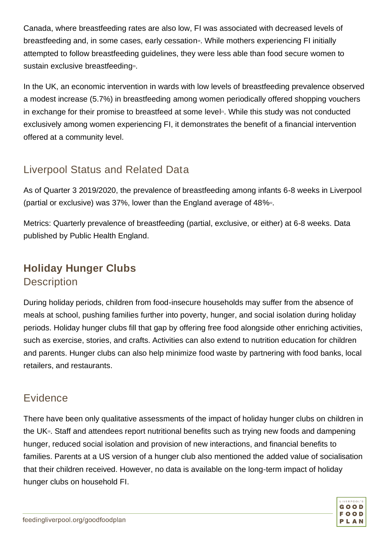Canada, where breastfeeding rates are also low, FI was associated with decreased levels of breastfeeding and, in some cases, early cessation<sup>9</sup>. While mothers experiencing FI initially attempted to follow breastfeeding guidelines, they were less able than food secure women to sustain exclusive breastfeeding<sup>20</sup>.

In the UK, an economic intervention in wards with low levels of breastfeeding prevalence observed a modest increase (5.7%) in breastfeeding among women periodically offered shopping vouchers in exchange for their promise to breastfeed at some level<sup>®</sup>. While this study was not conducted exclusively among women experiencing FI, it demonstrates the benefit of a financial intervention offered at a community level.

#### Liverpool Status and Related Data

As of Quarter 3 2019/2020, the prevalence of breastfeeding among infants 6-8 weeks in Liverpool (partial or exclusive) was  $37\%$ , lower than the England average of  $48\%$ <sup>2</sup>.

Metrics: Quarterly prevalence of breastfeeding (partial, exclusive, or either) at 6-8 weeks. Data published by Public Health England.

#### **Holiday Hunger Clubs Description**

During holiday periods, children from food-insecure households may suffer from the absence of meals at school, pushing families further into poverty, hunger, and social isolation during holiday periods. Holiday hunger clubs fill that gap by offering free food alongside other enriching activities, such as exercise, stories, and crafts. Activities can also extend to nutrition education for children and parents. Hunger clubs can also help minimize food waste by partnering with food banks, local retailers, and restaurants.

#### Evidence

There have been only qualitative assessments of the impact of holiday hunger clubs on children in the UK<sup> $13$ </sup>. Staff and attendees report nutritional benefits such as trying new foods and dampening hunger, reduced social isolation and provision of new interactions, and financial benefits to families. Parents at a US version of a hunger club also mentioned the added value of socialisation that their children received. However, no data is available on the long-term impact of holiday hunger clubs on household FI.

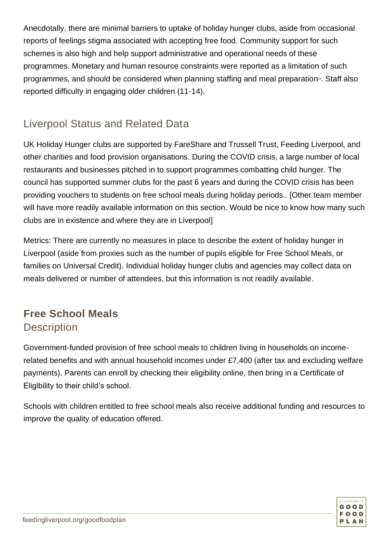Anecdotally, there are minimal barriers to uptake of holiday hunger clubs, aside from occasional reports of feelings stigma associated with accepting free food. Community support for such schemes is also high and help support administrative and operational needs of these programmes. Monetary and human resource constraints were reported as a limitation of such programmes, and should be considered when planning staffing and meal preparation<sup>®</sup>. Staff also reported difficulty in engaging older children (11-14).

#### Liverpool Status and Related Data

UK Holiday Hunger clubs are supported by FareShare and Trussell Trust, Feeding Liverpool, and other charities and food provision organisations. During the COVID crisis, a large number of local restaurants and businesses pitched in to support programmes combatting child hunger. The council has supported summer clubs for the past 6 years and during the COVID crisis has been providing vouchers to students on free school meals during holiday periods.. [Other team member will have more readily available information on this section. Would be nice to know how many such clubs are in existence and where they are in Liverpool]

Metrics: There are currently no measures in place to describe the extent of holiday hunger in Liverpool (aside from proxies such as the number of pupils eligible for Free School Meals, or families on Universal Credit). Individual holiday hunger clubs and agencies may collect data on meals delivered or number of attendees, but this information is not readily available.

#### **Free School Meals Description**

Government-funded provision of free school meals to children living in households on incomerelated benefits and with annual household incomes under £7,400 (after tax and excluding welfare payments). Parents can enroll by checking their eligibility online, then bring in a Certificate of Eligibility to their child's school.

Schools with children entitled to free school meals also receive additional funding and resources to improve the quality of education offered.

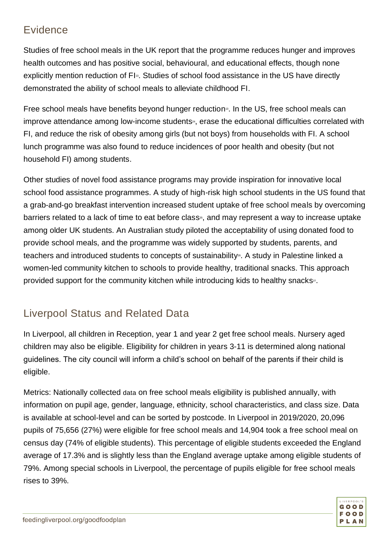#### Evidence

Studies of free school meals in the UK report that the programme reduces hunger and improves health outcomes and has positive social, behavioural, and educational effects, though none explicitly mention reduction of FI<sup>3</sup>. Studies of school food assistance in the US have directly demonstrated the ability of school meals to alleviate childhood FI.

Free school meals have benefits beyond hunger reduction<sup>3</sup>. In the US, free school meals can improve attendance among low-income students<sup>24</sup>, erase the educational difficulties correlated with FI, and reduce the risk of obesity among girls (but not boys) from households with FI. A school lunch programme was also found to reduce incidences of poor health and obesity (but not household FI) among students.

Other studies of novel food assistance programs may provide inspiration for innovative local school food assistance programmes. A study of high-risk high school students in the US found that a grab-and-go breakfast intervention increased student uptake of free school meals by overcoming barriers related to a lack of time to eat before class<sup>®</sup>, and may represent a way to increase uptake among older UK students. An Australian study piloted the acceptability of using donated food to provide school meals, and the programme was widely supported by students, parents, and teachers and introduced students to concepts of sustainability<sup>®</sup>. A study in Palestine linked a women-led community kitchen to schools to provide healthy, traditional snacks. This approach provided support for the community kitchen while introducing kids to healthy snacks<sup>27</sup>.

#### Liverpool Status and Related Data

In Liverpool, all children in Reception, year 1 and year 2 get free school meals. Nursery aged children may also be eligible. Eligibility for children in years 3-11 is determined along national guidelines. The city council will inform a child's school on behalf of the parents if their child is eligible.

Metrics: Nationally collected [data](https://explore-education-statistics.service.gov.uk/methodology/schools-pupils-and-their-characteristics-methodology) on free school meals eligibility is published annually, with information on pupil age, gender, language, ethnicity, school characteristics, and class size. Data is available at school-level and can be sorted by postcode. In Liverpool in 2019/2020, 20,096 pupils of 75,656 (27%) were eligible for free school meals and 14,904 took a free school meal on census day (74% of eligible students). This percentage of eligible students exceeded the England average of 17.3% and is slightly less than the England average uptake among eligible students of 79%. Among special schools in Liverpool, the percentage of pupils eligible for free school meals rises to 39%.

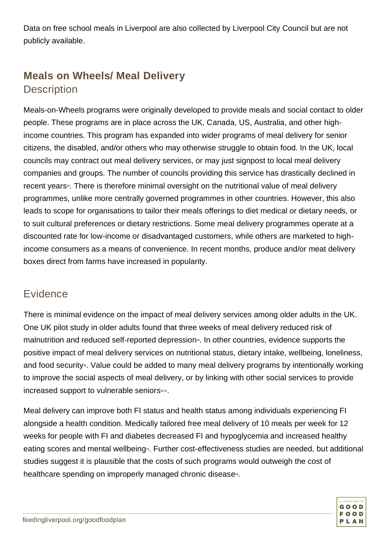Data on free school meals in Liverpool are also collected by Liverpool City Council but are not publicly available.

#### **Meals on Wheels/ Meal Delivery Description**

Meals-on-Wheels programs were originally developed to provide meals and social contact to older people. These programs are in place across the UK, Canada, US, Australia, and other highincome countries. This program has expanded into wider programs of meal delivery for senior citizens, the disabled, and/or others who may otherwise struggle to obtain food. In the UK, local councils may contract out meal delivery services, or may just signpost to local meal delivery companies and groups. The number of councils providing this service has drastically declined in recent years<sup>®</sup>. There is therefore minimal oversight on the nutritional value of meal delivery programmes, unlike more centrally governed programmes in other countries. However, this also leads to scope for organisations to tailor their meals offerings to diet medical or dietary needs, or to suit cultural preferences or dietary restrictions. Some meal delivery programmes operate at a discounted rate for low-income or disadvantaged customers, while others are marketed to highincome consumers as a means of convenience. In recent months, produce and/or meat delivery boxes direct from farms have increased in popularity.

#### **Evidence**

There is minimal evidence on the impact of meal delivery services among older adults in the UK. One UK pilot study in older adults found that three weeks of meal delivery reduced risk of malnutrition and reduced self-reported depression<sup>®</sup>. In other countries, evidence supports the positive impact of meal delivery services on nutritional status, dietary intake, wellbeing, loneliness, and food security<sup>®</sup>. Value could be added to many meal delivery programs by intentionally working to improve the social aspects of meal delivery, or by linking with other social services to provide increased support to vulnerable seniors<sup>30,31</sup>.

Meal delivery can improve both FI status and health status among individuals experiencing FI alongside a health condition. Medically tailored free meal delivery of 10 meals per week for 12 weeks for people with FI and diabetes decreased FI and hypoglycemia and increased healthy eating scores and mental wellbeing<sup>®</sup>. Further cost-effectiveness studies are needed, but additional studies suggest it is plausible that the costs of such programs would outweigh the cost of healthcare spending on improperly managed chronic disease<sup>33</sup>.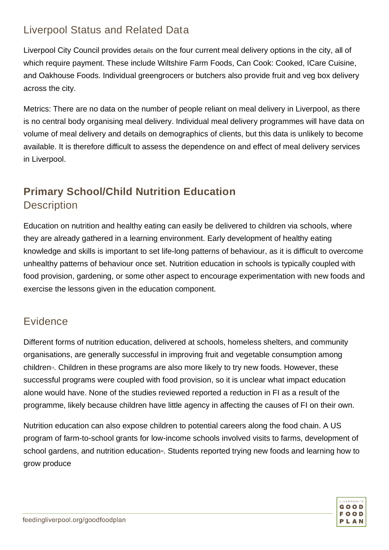#### Liverpool Status and Related Data

Liverpool City Council provides [details](https://liverpool.gov.uk/adult-social-care/living-independently/meal-delivery/) on the four current meal delivery options in the city, all of which require payment. These include Wiltshire Farm Foods, Can Cook: Cooked, ICare Cuisine, and Oakhouse Foods. Individual greengrocers or butchers also provide fruit and veg box delivery across the city.

Metrics: There are no data on the number of people reliant on meal delivery in Liverpool, as there is no central body organising meal delivery. Individual meal delivery programmes will have data on volume of meal delivery and details on demographics of clients, but this data is unlikely to become available. It is therefore difficult to assess the dependence on and effect of meal delivery services in Liverpool.

#### **Primary School/Child Nutrition Education Description**

Education on nutrition and healthy eating can easily be delivered to children via schools, where they are already gathered in a learning environment. Early development of healthy eating knowledge and skills is important to set life-long patterns of behaviour, as it is difficult to overcome unhealthy patterns of behaviour once set. Nutrition education in schools is typically coupled with food provision, gardening, or some other aspect to encourage experimentation with new foods and exercise the lessons given in the education component.

#### **Evidence**

Different forms of nutrition education, delivered at schools, homeless shelters, and community organisations, are generally successful in improving fruit and vegetable consumption among children<sup>3</sup>. Children in these programs are also more likely to try new foods. However, these successful programs were coupled with food provision, so it is unclear what impact education alone would have. None of the studies reviewed reported a reduction in FI as a result of the programme, likely because children have little agency in affecting the causes of FI on their own.

Nutrition education can also expose children to potential careers along the food chain. A US program of farm-to-school grants for low-income schools involved visits to farms, development of school gardens, and nutrition education<sup>\*</sup>. Students reported trying new foods and learning how to grow produce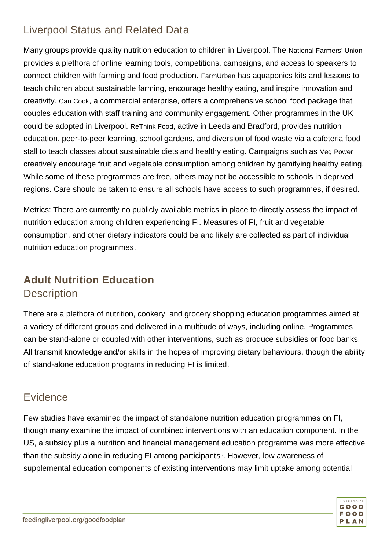#### Liverpool Status and Related Data

Many groups provide quality nutrition education to children in Liverpool. The [National Farmers' Union](https://education.nfuonline.com/) provides a plethora of online learning tools, competitions, campaigns, and access to speakers to connect children with farming and food production. [FarmUrban](https://farmurban.co.uk/learn/) has aquaponics kits and lessons to teach children about sustainable farming, encourage healthy eating, and inspire innovation and creativity. [Can Cook](https://www.cancook.co.uk/catering-services-in-merseyside-and-north-wales/schools/), a commercial enterprise, offers a comprehensive school food package that couples education with staff training and community engagement. Other programmes in the UK could be adopted in Liverpool. [ReThink Food](https://www.rethinkfood.co.uk/education/), active in Leeds and Bradford, provides nutrition education, peer-to-peer learning, school gardens, and diversion of food waste via a cafeteria food stall to teach classes about sustainable diets and healthy eating. Campaigns such as [Veg Power](https://vegpower.org.uk/) creatively encourage fruit and vegetable consumption among children by gamifying healthy eating. While some of these programmes are free, others may not be accessible to schools in deprived regions. Care should be taken to ensure all schools have access to such programmes, if desired.

Metrics: There are currently no publicly available metrics in place to directly assess the impact of nutrition education among children experiencing FI. Measures of FI, fruit and vegetable consumption, and other dietary indicators could be and likely are collected as part of individual nutrition education programmes.

#### **Adult Nutrition Education Description**

There are a plethora of nutrition, cookery, and grocery shopping education programmes aimed at a variety of different groups and delivered in a multitude of ways, including online. Programmes can be stand-alone or coupled with other interventions, such as produce subsidies or food banks. All transmit knowledge and/or skills in the hopes of improving dietary behaviours, though the ability of stand-alone education programs in reducing FI is limited.

#### **Evidence**

Few studies have examined the impact of standalone nutrition education programmes on FI, though many examine the impact of combined interventions with an education component. In the US, a subsidy plus a nutrition and financial management education programme was more effective than the subsidy alone in reducing FI among participants<sup>®</sup>. However, low awareness of supplemental education components of existing interventions may limit uptake among potential

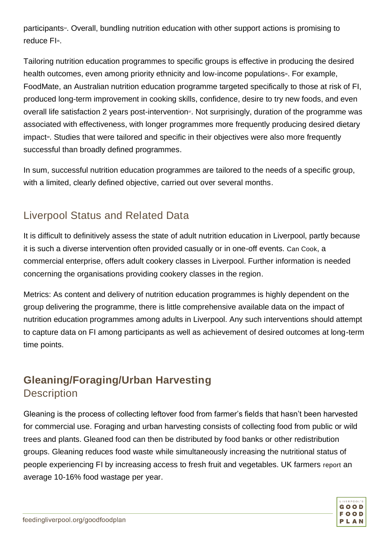participants<sup>4</sup>. Overall, bundling nutrition education with other support actions is promising to reduce Fl<sup>35</sup>.

Tailoring nutrition education programmes to specific groups is effective in producing the desired health outcomes, even among priority ethnicity and low-income populations<sup>36</sup>. For example, FoodMate, an Australian nutrition education programme targeted specifically to those at risk of FI, produced long-term improvement in cooking skills, confidence, desire to try new foods, and even overall life satisfaction 2 years post-intervention<sup>3</sup>. Not surprisingly, duration of the programme was associated with effectiveness, with longer programmes more frequently producing desired dietary impact<sup>®</sup>. Studies that were tailored and specific in their objectives were also more frequently successful than broadly defined programmes.

In sum, successful nutrition education programmes are tailored to the needs of a specific group, with a limited, clearly defined objective, carried out over several months.

#### Liverpool Status and Related Data

It is difficult to definitively assess the state of adult nutrition education in Liverpool, partly because it is such a diverse intervention often provided casually or in one-off events. [Can Cook](https://www.cancook.co.uk/catering-services-in-merseyside-and-north-wales/schools/), a commercial enterprise, offers adult cookery classes in Liverpool. Further information is needed concerning the organisations providing cookery classes in the region.

Metrics: As content and delivery of nutrition education programmes is highly dependent on the group delivering the programme, there is little comprehensive available data on the impact of nutrition education programmes among adults in Liverpool. Any such interventions should attempt to capture data on FI among participants as well as achievement of desired outcomes at long-term time points.

#### **Gleaning/Foraging/Urban Harvesting Description**

Gleaning is the process of collecting leftover food from farmer's fields that hasn't been harvested for commercial use. Foraging and urban harvesting consists of collecting food from public or wild trees and plants. Gleaned food can then be distributed by food banks or other redistribution groups. Gleaning reduces food waste while simultaneously increasing the nutritional status of people experiencing FI by increasing access to fresh fruit and vegetables. UK farmers [report](https://feedbackglobal.org/wp-content/uploads/2018/08/Farm_waste_report_.pdf) an average 10-16% food wastage per year.

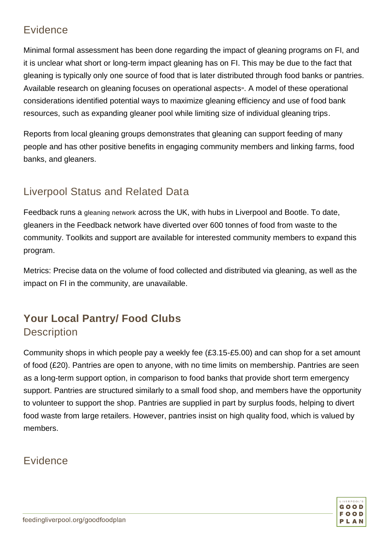#### **Evidence**

Minimal formal assessment has been done regarding the impact of gleaning programs on FI, and it is unclear what short or long-term impact gleaning has on FI. This may be due to the fact that gleaning is typically only one source of food that is later distributed through food banks or pantries. Available research on gleaning focuses on operational aspects». A model of these operational considerations identified potential ways to maximize gleaning efficiency and use of food bank resources, such as expanding gleaner pool while limiting size of individual gleaning trips.

Reports from local gleaning groups demonstrates that gleaning can support feeding of many people and has other positive benefits in engaging community members and linking farms, food banks, and gleaners.

#### Liverpool Status and Related Data

Feedback runs a [gleaning network](https://gleaning.feedbackglobal.org/) across the UK, with hubs in Liverpool and Bootle. To date, gleaners in the Feedback network have diverted over 600 tonnes of food from waste to the community. Toolkits and support are available for interested community members to expand this program.

Metrics: Precise data on the volume of food collected and distributed via gleaning, as well as the impact on FI in the community, are unavailable.

#### **Your Local Pantry/ Food Clubs Description**

Community shops in which people pay a weekly fee (£3.15-£5.00) and can shop for a set amount of food (£20). Pantries are open to anyone, with no time limits on membership. Pantries are seen as a long-term support option, in comparison to food banks that provide short term emergency support. Pantries are structured similarly to a small food shop, and members have the opportunity to volunteer to support the shop. Pantries are supplied in part by surplus foods, helping to divert food waste from large retailers. However, pantries insist on high quality food, which is valued by members.

#### **Evidence**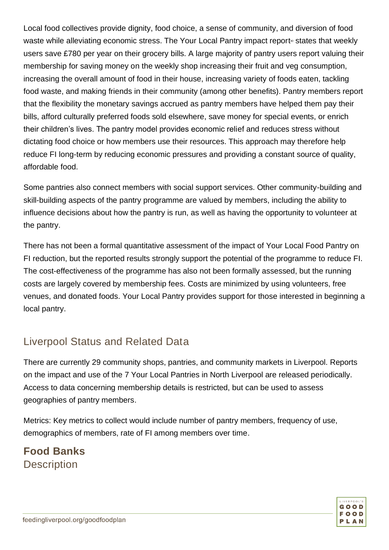Local food collectives provide dignity, food choice, a sense of community, and diversion of food waste while alleviating economic stress. The Your Local Pantry impact report<sup>®</sup> states that weekly users save £780 per year on their grocery bills. A large majority of pantry users report valuing their membership for saving money on the weekly shop increasing their fruit and veg consumption, increasing the overall amount of food in their house, increasing variety of foods eaten, tackling food waste, and making friends in their community (among other benefits). Pantry members report that the flexibility the monetary savings accrued as pantry members have helped them pay their bills, afford culturally preferred foods sold elsewhere, save money for special events, or enrich their children's lives. The pantry model provides economic relief and reduces stress without dictating food choice or how members use their resources. This approach may therefore help reduce FI long-term by reducing economic pressures and providing a constant source of quality, affordable food.

Some pantries also connect members with social support services. Other community-building and skill-building aspects of the pantry programme are valued by members, including the ability to influence decisions about how the pantry is run, as well as having the opportunity to volunteer at the pantry.

There has not been a formal quantitative assessment of the impact of Your Local Food Pantry on FI reduction, but the reported results strongly support the potential of the programme to reduce FI. The cost-effectiveness of the programme has also not been formally assessed, but the running costs are largely covered by membership fees. Costs are minimized by using volunteers, free venues, and donated foods. Your Local Pantry provides support for those interested in beginning a local pantry.

#### Liverpool Status and Related Data

There are currently 29 community shops, pantries, and community markets in Liverpool. Reports on the impact and use of the 7 Your Local Pantries in North Liverpool are released periodically. Access to data concerning membership details is restricted, but can be used to assess geographies of pantry members.

Metrics: Key metrics to collect would include number of pantry members, frequency of use, demographics of members, rate of FI among members over time.

#### **Food Banks Description**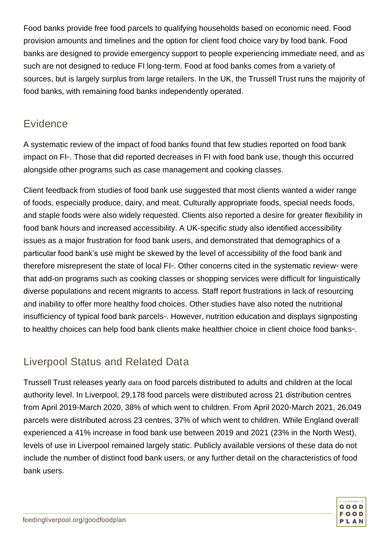Food banks provide free food parcels to qualifying households based on economic need. Food provision amounts and timelines and the option for client food choice vary by food bank. Food banks are designed to provide emergency support to people experiencing immediate need, and as such are not designed to reduce FI long-term. Food at food banks comes from a variety of sources, but is largely surplus from large retailers. In the UK, the Trussell Trust runs the majority of food banks, with remaining food banks independently operated.

#### **Evidence**

A systematic review of the impact of food banks found that few studies reported on food bank impact on FI<sup>4</sup>. Those that did reported decreases in FI with food bank use, though this occurred alongside other programs such as case management and cooking classes.

Client feedback from studies of food bank use suggested that most clients wanted a wider range of foods, especially produce, dairy, and meat. Culturally appropriate foods, special needs foods, and staple foods were also widely requested. Clients also reported a desire for greater flexibility in food bank hours and increased accessibility. A UK-specific study also identified accessibility issues as a major frustration for food bank users, and demonstrated that demographics of a particular food bank's use might be skewed by the level of accessibility of the food bank and therefore misrepresent the state of local FI<sup>®</sup>. Other concerns cited in the systematic review<sup>41</sup> were that add-on programs such as cooking classes or shopping services were difficult for linguistically diverse populations and recent migrants to access. Staff report frustrations in lack of resourcing and inability to offer more healthy food choices. Other studies have also noted the nutritional insufficiency of typical food bank parcels<sup>43</sup>. However, nutrition education and displays signposting to healthy choices can help food bank clients make healthier choice in client choice food banks<sup>44</sup>.

#### Liverpool Status and Related Data

Trussell Trust releases yearly [data](https://www.trusselltrust.org/news-and-blog/latest-stats/end-year-stats/) on food parcels distributed to adults and children at the local authority level. In Liverpool, 29,178 food parcels were distributed across 21 distribution centres from April 2019-March 2020, 38% of which went to children. From April 2020-March 2021, 26,049 parcels were distributed across 23 centres, 37% of which went to children. While England overall experienced a 41% increase in food bank use between 2019 and 2021 (23% in the North West), levels of use in Liverpool remained largely static. Publicly available versions of these data do not include the number of distinct food bank users, or any further detail on the characteristics of food bank users.

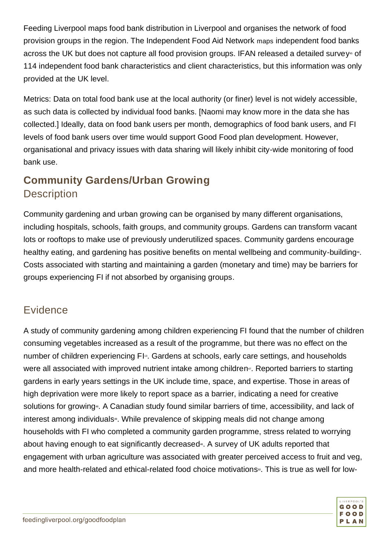Feeding Liverpool maps food bank distribution in Liverpool and organises the network of food provision groups in the region. The Independent Food Aid Network [maps](https://www.foodaidnetwork.org.uk/independent-food-banks-map) independent food banks across the UK but does not capture all food provision groups. IFAN released a detailed survey<sup>45</sup> of 114 independent food bank characteristics and client characteristics, but this information was only provided at the UK level.

Metrics: Data on total food bank use at the local authority (or finer) level is not widely accessible, as such data is collected by individual food banks. [Naomi may know more in the data she has collected.] Ideally, data on food bank users per month, demographics of food bank users, and FI levels of food bank users over time would support Good Food plan development. However, organisational and privacy issues with data sharing will likely inhibit city-wide monitoring of food bank use.

#### **Community Gardens/Urban Growing Description**

Community gardening and urban growing can be organised by many different organisations, including hospitals, schools, faith groups, and community groups. Gardens can transform vacant lots or rooftops to make use of previously underutilized spaces. Community gardens encourage healthy eating, and gardening has positive benefits on mental wellbeing and community-building<sup>®</sup>. Costs associated with starting and maintaining a garden (monetary and time) may be barriers for groups experiencing FI if not absorbed by organising groups.

#### Evidence

A study of community gardening among children experiencing FI found that the number of children consuming vegetables increased as a result of the programme, but there was no effect on the number of children experiencing FI<sup>®</sup>. Gardens at schools, early care settings, and households were all associated with improved nutrient intake among children<sup>®</sup>. Reported barriers to starting gardens in early years settings in the UK include time, space, and expertise. Those in areas of high deprivation were more likely to report space as a barrier, indicating a need for creative solutions for growing<sup>48</sup>. A Canadian study found similar barriers of time, accessibility, and lack of interest among individuals<sup>40</sup>. While prevalence of skipping meals did not change among households with FI who completed a community garden programme, stress related to worrying about having enough to eat significantly decreased<sup>®</sup>. A survey of UK adults reported that engagement with urban agriculture was associated with greater perceived access to fruit and veg, and more health-related and ethical-related food choice motivations<sup>®</sup>. This is true as well for low-

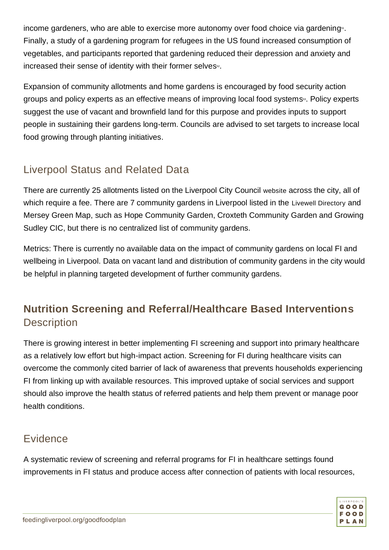income gardeners, who are able to exercise more autonomy over food choice via gardening<sup>51</sup>. Finally, a study of a gardening program for refugees in the US found increased consumption of vegetables, and participants reported that gardening reduced their depression and anxiety and increased their sense of identity with their former selves<sup>52</sup>.

Expansion of community allotments and home gardens is encouraged by food security action groups and policy experts as an effective means of improving local food systems<sup>53</sup>. Policy experts suggest the use of vacant and brownfield land for this purpose and provides inputs to support people in sustaining their gardens long-term. Councils are advised to set targets to increase local food growing through planting initiatives.

#### Liverpool Status and Related Data

There are currently 25 allotments listed on the Liverpool City Council [website](https://liverpool.gov.uk/leisure-parks-and-wellbeing/allotments/) across the city, all of which require a fee. There are 7 community gardens in Liverpool listed in the [Livewell Directory](https://www.thelivewelldirectory.com/) and Mersey Green Map, such as Hope Community Garden, Croxteth Community Garden and Growing Sudley CIC, but there is no centralized list of community gardens.

Metrics: There is currently no available data on the impact of community gardens on local FI and wellbeing in Liverpool. Data on vacant land and distribution of community gardens in the city would be helpful in planning targeted development of further community gardens.

#### **Nutrition Screening and Referral/Healthcare Based Interventions Description**

There is growing interest in better implementing FI screening and support into primary healthcare as a relatively low effort but high-impact action. Screening for FI during healthcare visits can overcome the commonly cited barrier of lack of awareness that prevents households experiencing FI from linking up with available resources. This improved uptake of social services and support should also improve the health status of referred patients and help them prevent or manage poor health conditions.

#### **Evidence**

A systematic review of screening and referral programs for FI in healthcare settings found improvements in FI status and produce access after connection of patients with local resources,

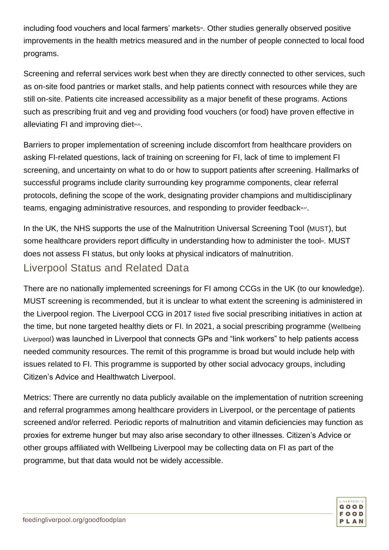including food vouchers and local farmers' markets<sup>33</sup>. Other studies generally observed positive improvements in the health metrics measured and in the number of people connected to local food programs.

Screening and referral services work best when they are directly connected to other services, such as on-site food pantries or market stalls, and help patients connect with resources while they are still on-site. Patients cite increased accessibility as a major benefit of these programs. Actions such as prescribing fruit and veg and providing food vouchers (or food) have proven effective in alleviating FI and improving diet<sub>54,55</sub>.

Barriers to proper implementation of screening include discomfort from healthcare providers on asking FI-related questions, lack of training on screening for FI, lack of time to implement FI screening, and uncertainty on what to do or how to support patients after screening. Hallmarks of successful programs include clarity surrounding key programme components, clear referral protocols, defining the scope of the work, designating provider champions and multidisciplinary teams, engaging administrative resources, and responding to provider feedback<sup>56,57</sup>.

In the UK, the NHS supports the use of the Malnutrition Universal Screening Tool ([MUST](https://www.bapen.org.uk/screening-and-must/must/introducing-must)), but some healthcare providers report difficulty in understanding how to administer the tool<sup>®</sup>. MUST does not assess FI status, but only looks at physical indicators of malnutrition.

#### Liverpool Status and Related Data

There are no nationally implemented screenings for FI among CCGs in the UK (to our knowledge). MUST screening is recommended, but it is unclear to what extent the screening is administered in the Liverpool region. The Liverpool CCG in 2017 [listed](https://www.liverpoolccg.nhs.uk/media/2751/42705-smoh-paper-nov-6th-2017.pdf) five social prescribing initiatives in action at the time, but none targeted healthy diets or FI. In 2021, a social prescribing programme ([Wellbeing](https://wellbeingliverpool.co.uk/what-is-wellbeing-liverpool/)  [Liverpool](https://wellbeingliverpool.co.uk/what-is-wellbeing-liverpool/)) was launched in Liverpool that connects GPs and "link workers" to help patients access needed community resources. The remit of this programme is broad but would include help with issues related to FI. This programme is supported by other social advocacy groups, including Citizen's Advice and Healthwatch Liverpool.

Metrics: There are currently no data publicly available on the implementation of nutrition screening and referral programmes among healthcare providers in Liverpool, or the percentage of patients screened and/or referred. Periodic reports of malnutrition and vitamin deficiencies may function as proxies for extreme hunger but may also arise secondary to other illnesses. Citizen's Advice or other groups affiliated with Wellbeing Liverpool may be collecting data on FI as part of the programme, but that data would not be widely accessible.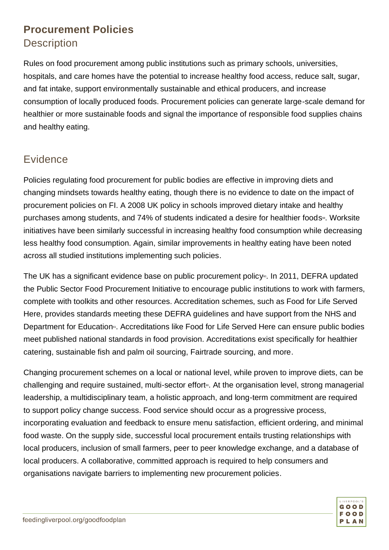#### **Procurement Policies Description**

Rules on food procurement among public institutions such as primary schools, universities, hospitals, and care homes have the potential to increase healthy food access, reduce salt, sugar, and fat intake, support environmentally sustainable and ethical producers, and increase consumption of locally produced foods. Procurement policies can generate large-scale demand for healthier or more sustainable foods and signal the importance of responsible food supplies chains and healthy eating.

#### **Evidence**

Policies regulating food procurement for public bodies are effective in improving diets and changing mindsets towards healthy eating, though there is no evidence to date on the impact of procurement policies on FI. A 2008 UK policy in schools improved dietary intake and healthy purchases among students, and 74% of students indicated a desire for healthier foods<sup>59</sup>. Worksite initiatives have been similarly successful in increasing healthy food consumption while decreasing less healthy food consumption. Again, similar improvements in healthy eating have been noted across all studied institutions implementing such policies.

The UK has a significant evidence base on public procurement policy<sup>®</sup>. In 2011, DEFRA updated the Public Sector Food Procurement Initiative to encourage public institutions to work with farmers, complete with toolkits and other resources. Accreditation schemes, such as Food for Life Served Here, provides standards meeting these DEFRA guidelines and have support from the NHS and Department for Education<sup>®</sup>. Accreditations like Food for Life Served Here can ensure public bodies meet published national standards in food provision. Accreditations exist specifically for healthier catering, sustainable fish and palm oil sourcing, Fairtrade sourcing, and more.

Changing procurement schemes on a local or national level, while proven to improve diets, can be challenging and require sustained, multi-sector effort<sup>®</sup>. At the organisation level, strong managerial leadership, a multidisciplinary team, a holistic approach, and long-term commitment are required to support policy change success. Food service should occur as a progressive process, incorporating evaluation and feedback to ensure menu satisfaction, efficient ordering, and minimal food waste. On the supply side, successful local procurement entails trusting relationships with local producers, inclusion of small farmers, peer to peer knowledge exchange, and a database of local producers. A collaborative, committed approach is required to help consumers and organisations navigate barriers to implementing new procurement policies.

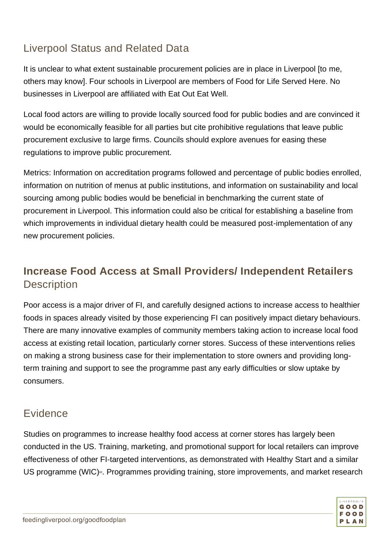#### Liverpool Status and Related Data

It is unclear to what extent sustainable procurement policies are in place in Liverpool [to me, others may know]. Four schools in Liverpool are members of Food for Life Served Here. No businesses in Liverpool are affiliated with Eat Out Eat Well.

Local food actors are willing to provide locally sourced food for public bodies and are convinced it would be economically feasible for all parties but cite prohibitive regulations that leave public procurement exclusive to large firms. Councils should explore avenues for easing these regulations to improve public procurement.

Metrics: Information on accreditation programs followed and percentage of public bodies enrolled, information on nutrition of menus at public institutions, and information on sustainability and local sourcing among public bodies would be beneficial in benchmarking the current state of procurement in Liverpool. This information could also be critical for establishing a baseline from which improvements in individual dietary health could be measured post-implementation of any new procurement policies.

#### **Increase Food Access at Small Providers/ Independent Retailers Description**

Poor access is a major driver of FI, and carefully designed actions to increase access to healthier foods in spaces already visited by those experiencing FI can positively impact dietary behaviours. There are many innovative examples of community members taking action to increase local food access at existing retail location, particularly corner stores. Success of these interventions relies on making a strong business case for their implementation to store owners and providing longterm training and support to see the programme past any early difficulties or slow uptake by consumers.

#### Evidence

Studies on programmes to increase healthy food access at corner stores has largely been conducted in the US. Training, marketing, and promotional support for local retailers can improve effectiveness of other FI-targeted interventions, as demonstrated with Healthy Start and a similar US programme (WIC)<sup>®</sup>. Programmes providing training, store improvements, and market research

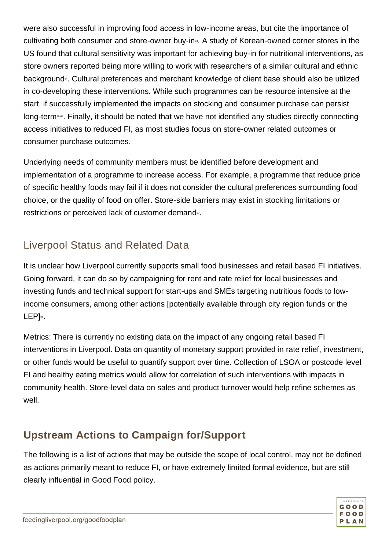were also successful in improving food access in low-income areas, but cite the importance of cultivating both consumer and store-owner buy-in<sup>®</sup>. A study of Korean-owned corner stores in the US found that cultural sensitivity was important for achieving buy-in for nutritional interventions, as store owners reported being more willing to work with researchers of a similar cultural and ethnic background<sup>84</sup>. Cultural preferences and merchant knowledge of client base should also be utilized in co-developing these interventions. While such programmes can be resource intensive at the start, if successfully implemented the impacts on stocking and consumer purchase can persist long-term65,66. Finally, it should be noted that we have not identified any studies directly connecting access initiatives to reduced FI, as most studies focus on store-owner related outcomes or consumer purchase outcomes.

Underlying needs of community members must be identified before development and implementation of a programme to increase access. For example, a programme that reduce price of specific healthy foods may fail if it does not consider the cultural preferences surrounding food choice, or the quality of food on offer. Store-side barriers may exist in stocking limitations or restrictions or perceived lack of customer demand<sup>67</sup>.

#### Liverpool Status and Related Data

It is unclear how Liverpool currently supports small food businesses and retail based FI initiatives. Going forward, it can do so by campaigning for rent and rate relief for local businesses and investing funds and technical support for start-ups and SMEs targeting nutritious foods to lowincome consumers, among other actions [potentially available through city region funds or the LEP]<sup>53</sup>.

Metrics: There is currently no existing data on the impact of any ongoing retail based FI interventions in Liverpool. Data on quantity of monetary support provided in rate relief, investment, or other funds would be useful to quantify support over time. Collection of LSOA or postcode level FI and healthy eating metrics would allow for correlation of such interventions with impacts in community health. Store-level data on sales and product turnover would help refine schemes as well.

#### **Upstream Actions to Campaign for/Support**

The following is a list of actions that may be outside the scope of local control, may not be defined as actions primarily meant to reduce FI, or have extremely limited formal evidence, but are still clearly influential in Good Food policy.

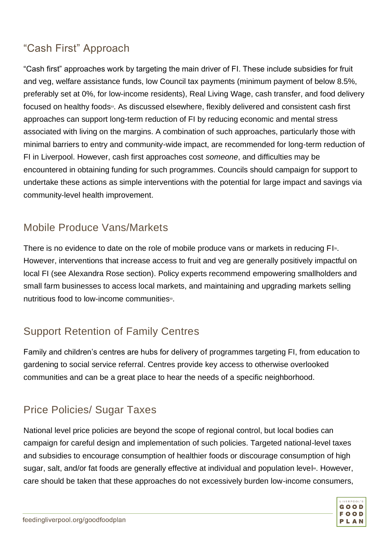#### "Cash First" Approach

"Cash first" approaches work by targeting the main driver of FI. These include subsidies for fruit and veg, welfare assistance funds, low Council tax payments (minimum payment of below 8.5%, preferably set at 0%, for low-income residents), Real Living Wage, cash transfer, and food delivery focused on healthy foods<sup>53</sup>. As discussed elsewhere, flexibly delivered and consistent cash first approaches can support long-term reduction of FI by reducing economic and mental stress associated with living on the margins. A combination of such approaches, particularly those with minimal barriers to entry and community-wide impact, are recommended for long-term reduction of FI in Liverpool. However, cash first approaches cost *someone*, and difficulties may be encountered in obtaining funding for such programmes. Councils should campaign for support to undertake these actions as simple interventions with the potential for large impact and savings via community-level health improvement.

#### Mobile Produce Vans/Markets

There is no evidence to date on the role of mobile produce vans or markets in reducing FI<sub>®</sub>. However, interventions that increase access to fruit and veg are generally positively impactful on local FI (see Alexandra Rose section). Policy experts recommend empowering smallholders and small farm businesses to access local markets, and maintaining and upgrading markets selling nutritious food to low-income communities<sup>53</sup>

### Support Retention of Family Centres

Family and children's centres are hubs for delivery of programmes targeting FI, from education to gardening to social service referral. Centres provide key access to otherwise overlooked communities and can be a great place to hear the needs of a specific neighborhood.

### Price Policies/ Sugar Taxes

National level price policies are beyond the scope of regional control, but local bodies can campaign for careful design and implementation of such policies. Targeted national-level taxes and subsidies to encourage consumption of healthier foods or discourage consumption of high sugar, salt, and/or fat foods are generally effective at individual and population level<sup>®</sup>. However, care should be taken that these approaches do not excessively burden low-income consumers,

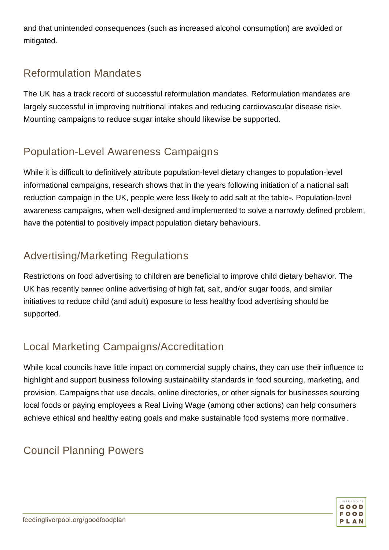and that unintended consequences (such as increased alcohol consumption) are avoided or mitigated.

#### Reformulation Mandates

The UK has a track record of successful reformulation mandates. Reformulation mandates are largely successful in improving nutritional intakes and reducing cardiovascular disease risk<sup>®</sup>. Mounting campaigns to reduce sugar intake should likewise be supported.

#### Population-Level Awareness Campaigns

While it is difficult to definitively attribute population-level dietary changes to population-level informational campaigns, research shows that in the years following initiation of a national salt reduction campaign in the UK, people were less likely to add salt at the table<sup>®</sup>. Population-level awareness campaigns, when well-designed and implemented to solve a narrowly defined problem, have the potential to positively impact population dietary behaviours.

#### Advertising/Marketing Regulations

Restrictions on food advertising to children are beneficial to improve child dietary behavior. The UK has recently [banned](https://www.theguardian.com/media/2020/nov/10/uk-to-ban-all-online-junk-food-advertising-to-tackle-obesity) online advertising of high fat, salt, and/or sugar foods, and similar initiatives to reduce child (and adult) exposure to less healthy food advertising should be supported.

### Local Marketing Campaigns/Accreditation

While local councils have little impact on commercial supply chains, they can use their influence to highlight and support business following sustainability standards in food sourcing, marketing, and provision. Campaigns that use decals, online directories, or other signals for businesses sourcing local foods or paying employees a Real Living Wage (among other actions) can help consumers achieve ethical and healthy eating goals and make sustainable food systems more normative.

#### Council Planning Powers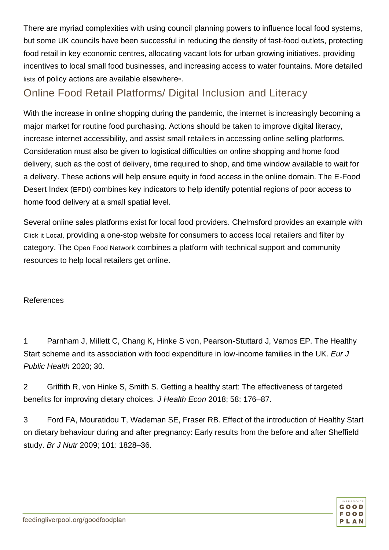There are myriad complexities with using council planning powers to influence local food systems, but some UK councils have been successful in reducing the density of fast-food outlets, protecting food retail in key economic centres, allocating vacant lots for urban growing initiatives, providing incentives to local small food businesses, and increasing access to water fountains. More detailed [lists](https://www.sustainablefoodplaces.org/resources/) of policy actions are available elsewhere $s$ .

#### Online Food Retail Platforms/ Digital Inclusion and Literacy

With the increase in online shopping during the pandemic, the internet is increasingly becoming a major market for routine food purchasing. Actions should be taken to improve digital literacy, increase internet accessibility, and assist small retailers in accessing online selling platforms. Consideration must also be given to logistical difficulties on online shopping and home food delivery, such as the cost of delivery, time required to shop, and time window available to wait for a delivery. These actions will help ensure equity in food access in the online domain. The E-Food Desert Index ([EFDI](https://data.cdrc.ac.uk/sites/default/files/efdi_userguide.pdf)) combines key indicators to help identify potential regions of poor access to home food delivery at a small spatial level.

Several online sales platforms exist for local food providers. Chelmsford provides an example with [Click it Local,](https://www.clickitlocal.co.uk/chelmsford/) providing a one-stop website for consumers to access local retailers and filter by category. The [Open Food Network](https://about.openfoodnetwork.org.uk/support/) combines a platform with technical support and community resources to help local retailers get online.

#### References

1 Parnham J, Millett C, Chang K, Hinke S von, Pearson-Stuttard J, Vamos EP. The Healthy Start scheme and its association with food expenditure in low-income families in the UK. *Eur J Public Health* 2020; 30.

2 Griffith R, von Hinke S, Smith S. Getting a healthy start: The effectiveness of targeted benefits for improving dietary choices. *J Health Econ* 2018; 58: 176–87.

3 Ford FA, Mouratidou T, Wademan SE, Fraser RB. Effect of the introduction of Healthy Start on dietary behaviour during and after pregnancy: Early results from the before and after Sheffield study. *Br J Nutr* 2009; 101: 1828–36.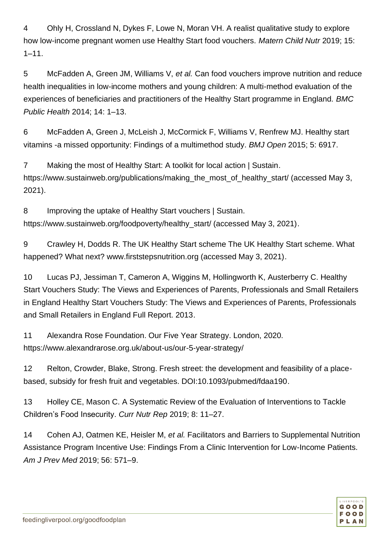4 Ohly H, Crossland N, Dykes F, Lowe N, Moran VH. A realist qualitative study to explore how low-income pregnant women use Healthy Start food vouchers. *Matern Child Nutr* 2019; 15:  $1 - 11$ .

5 McFadden A, Green JM, Williams V, *et al.* Can food vouchers improve nutrition and reduce health inequalities in low-income mothers and young children: A multi-method evaluation of the experiences of beneficiaries and practitioners of the Healthy Start programme in England. *BMC Public Health* 2014; 14: 1–13.

6 McFadden A, Green J, McLeish J, McCormick F, Williams V, Renfrew MJ. Healthy start vitamins -a missed opportunity: Findings of a multimethod study. *BMJ Open* 2015; 5: 6917.

7 Making the most of Healthy Start: A toolkit for local action | Sustain. https://www.sustainweb.org/publications/making\_the\_most\_of\_healthy\_start/ (accessed May 3, 2021).

8 Improving the uptake of Healthy Start vouchers | Sustain. https://www.sustainweb.org/foodpoverty/healthy\_start/ (accessed May 3, 2021).

9 Crawley H, Dodds R. The UK Healthy Start scheme The UK Healthy Start scheme. What happened? What next? www.firststepsnutrition.org (accessed May 3, 2021).

10 Lucas PJ, Jessiman T, Cameron A, Wiggins M, Hollingworth K, Austerberry C. Healthy Start Vouchers Study: The Views and Experiences of Parents, Professionals and Small Retailers in England Healthy Start Vouchers Study: The Views and Experiences of Parents, Professionals and Small Retailers in England Full Report. 2013.

11 Alexandra Rose Foundation. Our Five Year Strategy. London, 2020. https://www.alexandrarose.org.uk/about-us/our-5-year-strategy/

12 Relton, Crowder, Blake, Strong. Fresh street: the development and feasibility of a placebased, subsidy for fresh fruit and vegetables. DOI:10.1093/pubmed/fdaa190.

13 Holley CE, Mason C. A Systematic Review of the Evaluation of Interventions to Tackle Children's Food Insecurity. *Curr Nutr Rep* 2019; 8: 11–27.

14 Cohen AJ, Oatmen KE, Heisler M, *et al.* Facilitators and Barriers to Supplemental Nutrition Assistance Program Incentive Use: Findings From a Clinic Intervention for Low-Income Patients. *Am J Prev Med* 2019; 56: 571–9.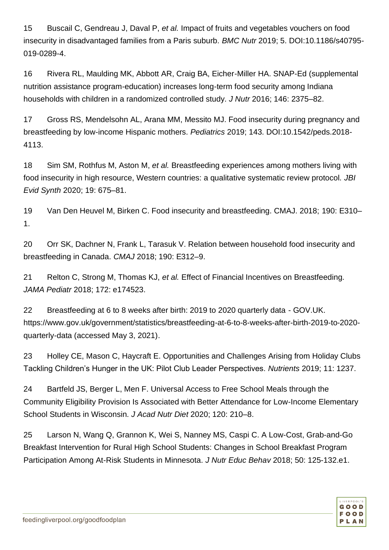15 Buscail C, Gendreau J, Daval P, *et al.* Impact of fruits and vegetables vouchers on food insecurity in disadvantaged families from a Paris suburb. *BMC Nutr* 2019; 5. DOI:10.1186/s40795- 019-0289-4.

16 Rivera RL, Maulding MK, Abbott AR, Craig BA, Eicher-Miller HA. SNAP-Ed (supplemental nutrition assistance program-education) increases long-term food security among Indiana households with children in a randomized controlled study. *J Nutr* 2016; 146: 2375–82.

17 Gross RS, Mendelsohn AL, Arana MM, Messito MJ. Food insecurity during pregnancy and breastfeeding by low-income Hispanic mothers. *Pediatrics* 2019; 143. DOI:10.1542/peds.2018- 4113.

18 Sim SM, Rothfus M, Aston M, *et al.* Breastfeeding experiences among mothers living with food insecurity in high resource, Western countries: a qualitative systematic review protocol. *JBI Evid Synth* 2020; 19: 675–81.

19 Van Den Heuvel M, Birken C. Food insecurity and breastfeeding. CMAJ. 2018; 190: E310– 1.

20 Orr SK, Dachner N, Frank L, Tarasuk V. Relation between household food insecurity and breastfeeding in Canada. *CMAJ* 2018; 190: E312–9.

21 Relton C, Strong M, Thomas KJ, *et al.* Effect of Financial Incentives on Breastfeeding. *JAMA Pediatr* 2018; 172: e174523.

22 Breastfeeding at 6 to 8 weeks after birth: 2019 to 2020 quarterly data - GOV.UK. https://www.gov.uk/government/statistics/breastfeeding-at-6-to-8-weeks-after-birth-2019-to-2020 quarterly-data (accessed May 3, 2021).

23 Holley CE, Mason C, Haycraft E. Opportunities and Challenges Arising from Holiday Clubs Tackling Children's Hunger in the UK: Pilot Club Leader Perspectives. *Nutrients* 2019; 11: 1237.

24 Bartfeld JS, Berger L, Men F. Universal Access to Free School Meals through the Community Eligibility Provision Is Associated with Better Attendance for Low-Income Elementary School Students in Wisconsin. *J Acad Nutr Diet* 2020; 120: 210–8.

25 Larson N, Wang Q, Grannon K, Wei S, Nanney MS, Caspi C. A Low-Cost, Grab-and-Go Breakfast Intervention for Rural High School Students: Changes in School Breakfast Program Participation Among At-Risk Students in Minnesota. *J Nutr Educ Behav* 2018; 50: 125-132.e1.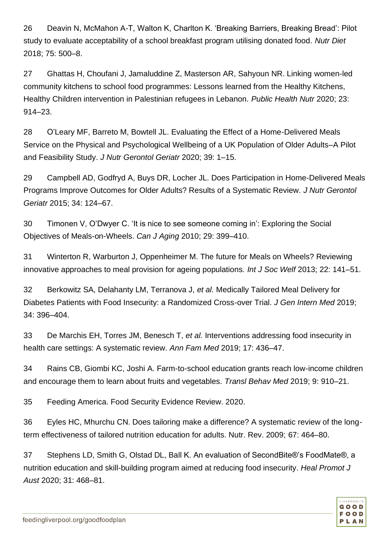26 Deavin N, McMahon A-T, Walton K, Charlton K. 'Breaking Barriers, Breaking Bread': Pilot study to evaluate acceptability of a school breakfast program utilising donated food. *Nutr Diet* 2018; 75: 500–8.

27 Ghattas H, Choufani J, Jamaluddine Z, Masterson AR, Sahyoun NR. Linking women-led community kitchens to school food programmes: Lessons learned from the Healthy Kitchens, Healthy Children intervention in Palestinian refugees in Lebanon. *Public Health Nutr* 2020; 23: 914–23.

28 O'Leary MF, Barreto M, Bowtell JL. Evaluating the Effect of a Home-Delivered Meals Service on the Physical and Psychological Wellbeing of a UK Population of Older Adults–A Pilot and Feasibility Study. *J Nutr Gerontol Geriatr* 2020; 39: 1–15.

29 Campbell AD, Godfryd A, Buys DR, Locher JL. Does Participation in Home-Delivered Meals Programs Improve Outcomes for Older Adults? Results of a Systematic Review. *J Nutr Gerontol Geriatr* 2015; 34: 124–67.

30 Timonen V, O'Dwyer C. 'It is nice to see someone coming in': Exploring the Social Objectives of Meals-on-Wheels. *Can J Aging* 2010; 29: 399–410.

31 Winterton R, Warburton J, Oppenheimer M. The future for Meals on Wheels? Reviewing innovative approaches to meal provision for ageing populations. *Int J Soc Welf* 2013; 22: 141–51.

32 Berkowitz SA, Delahanty LM, Terranova J, *et al.* Medically Tailored Meal Delivery for Diabetes Patients with Food Insecurity: a Randomized Cross-over Trial. *J Gen Intern Med* 2019; 34: 396–404.

33 De Marchis EH, Torres JM, Benesch T, *et al.* Interventions addressing food insecurity in health care settings: A systematic review. *Ann Fam Med* 2019; 17: 436–47.

34 Rains CB, Giombi KC, Joshi A. Farm-to-school education grants reach low-income children and encourage them to learn about fruits and vegetables. *Transl Behav Med* 2019; 9: 910–21.

35 Feeding America. Food Security Evidence Review. 2020.

36 Eyles HC, Mhurchu CN. Does tailoring make a difference? A systematic review of the longterm effectiveness of tailored nutrition education for adults. Nutr. Rev. 2009; 67: 464–80.

37 Stephens LD, Smith G, Olstad DL, Ball K. An evaluation of SecondBite®'s FoodMate®, a nutrition education and skill-building program aimed at reducing food insecurity. *Heal Promot J Aust* 2020; 31: 468–81.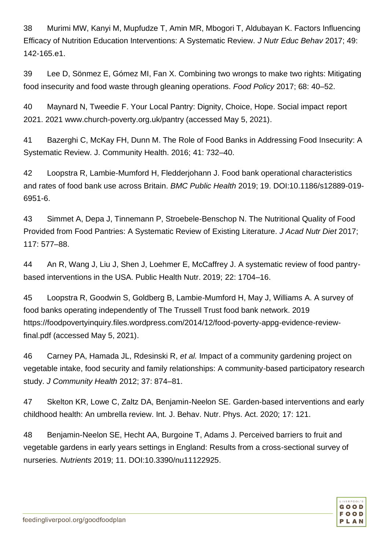38 Murimi MW, Kanyi M, Mupfudze T, Amin MR, Mbogori T, Aldubayan K. Factors Influencing Efficacy of Nutrition Education Interventions: A Systematic Review. *J Nutr Educ Behav* 2017; 49: 142-165.e1.

39 Lee D, Sönmez E, Gómez MI, Fan X. Combining two wrongs to make two rights: Mitigating food insecurity and food waste through gleaning operations. *Food Policy* 2017; 68: 40–52.

40 Maynard N, Tweedie F. Your Local Pantry: Dignity, Choice, Hope. Social impact report 2021. 2021 www.church-poverty.org.uk/pantry (accessed May 5, 2021).

41 Bazerghi C, McKay FH, Dunn M. The Role of Food Banks in Addressing Food Insecurity: A Systematic Review. J. Community Health. 2016; 41: 732–40.

42 Loopstra R, Lambie-Mumford H, Fledderjohann J. Food bank operational characteristics and rates of food bank use across Britain. *BMC Public Health* 2019; 19. DOI:10.1186/s12889-019- 6951-6.

43 Simmet A, Depa J, Tinnemann P, Stroebele-Benschop N. The Nutritional Quality of Food Provided from Food Pantries: A Systematic Review of Existing Literature. *J Acad Nutr Diet* 2017; 117: 577–88.

44 An R, Wang J, Liu J, Shen J, Loehmer E, McCaffrey J. A systematic review of food pantrybased interventions in the USA. Public Health Nutr. 2019; 22: 1704–16.

45 Loopstra R, Goodwin S, Goldberg B, Lambie-Mumford H, May J, Williams A. A survey of food banks operating independently of The Trussell Trust food bank network. 2019 https://foodpovertyinquiry.files.wordpress.com/2014/12/food-poverty-appg-evidence-reviewfinal.pdf (accessed May 5, 2021).

46 Carney PA, Hamada JL, Rdesinski R, *et al.* Impact of a community gardening project on vegetable intake, food security and family relationships: A community-based participatory research study. *J Community Health* 2012; 37: 874–81.

47 Skelton KR, Lowe C, Zaltz DA, Benjamin-Neelon SE. Garden-based interventions and early childhood health: An umbrella review. Int. J. Behav. Nutr. Phys. Act. 2020; 17: 121.

48 Benjamin-Neelon SE, Hecht AA, Burgoine T, Adams J. Perceived barriers to fruit and vegetable gardens in early years settings in England: Results from a cross-sectional survey of nurseries. *Nutrients* 2019; 11. DOI:10.3390/nu11122925.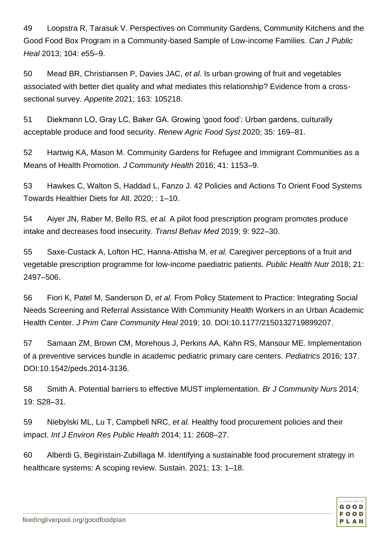49 Loopstra R, Tarasuk V. Perspectives on Community Gardens, Community Kitchens and the Good Food Box Program in a Community-based Sample of Low-income Families. *Can J Public Heal* 2013; 104: e55–9.

50 Mead BR, Christiansen P, Davies JAC, *et al.* Is urban growing of fruit and vegetables associated with better diet quality and what mediates this relationship? Evidence from a crosssectional survey. *Appetite* 2021; 163: 105218.

51 Diekmann LO, Gray LC, Baker GA. Growing 'good food': Urban gardens, culturally acceptable produce and food security. *Renew Agric Food Syst* 2020; 35: 169–81.

52 Hartwig KA, Mason M. Community Gardens for Refugee and Immigrant Communities as a Means of Health Promotion. *J Community Health* 2016; 41: 1153–9.

53 Hawkes C, Walton S, Haddad L, Fanzo J. 42 Policies and Actions To Orient Food Systems Towards Healthier Diets for All. 2020; : 1–10.

54 Aiyer JN, Raber M, Bello RS, *et al.* A pilot food prescription program promotes produce intake and decreases food insecurity. *Transl Behav Med* 2019; 9: 922–30.

55 Saxe-Custack A, Lofton HC, Hanna-Attisha M, *et al.* Caregiver perceptions of a fruit and vegetable prescription programme for low-income paediatric patients. *Public Health Nutr* 2018; 21: 2497–506.

56 Fiori K, Patel M, Sanderson D, *et al.* From Policy Statement to Practice: Integrating Social Needs Screening and Referral Assistance With Community Health Workers in an Urban Academic Health Center. *J Prim Care Community Heal* 2019; 10. DOI:10.1177/2150132719899207.

57 Samaan ZM, Brown CM, Morehous J, Perkins AA, Kahn RS, Mansour ME. Implementation of a preventive services bundle in academic pediatric primary care centers. *Pediatrics* 2016; 137. DOI:10.1542/peds.2014-3136.

58 Smith A. Potential barriers to effective MUST implementation. *Br J Community Nurs* 2014; 19: S28–31.

59 Niebylski ML, Lu T, Campbell NRC, *et al.* Healthy food procurement policies and their impact. *Int J Environ Res Public Health* 2014; 11: 2608–27.

60 Alberdi G, Begiristain-Zubillaga M. Identifying a sustainable food procurement strategy in healthcare systems: A scoping review. Sustain. 2021; 13: 1–18.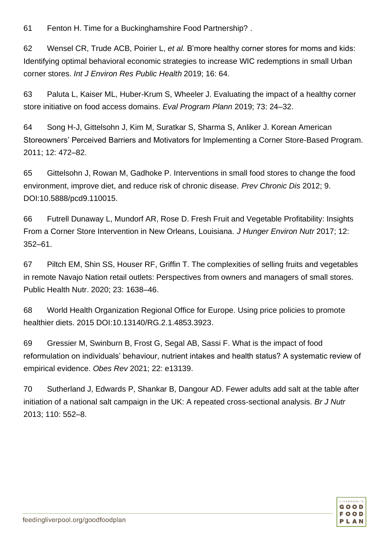61 Fenton H. Time for a Buckinghamshire Food Partnership? .

62 Wensel CR, Trude ACB, Poirier L, *et al.* B'more healthy corner stores for moms and kids: Identifying optimal behavioral economic strategies to increase WIC redemptions in small Urban corner stores. *Int J Environ Res Public Health* 2019; 16: 64.

63 Paluta L, Kaiser ML, Huber-Krum S, Wheeler J. Evaluating the impact of a healthy corner store initiative on food access domains. *Eval Program Plann* 2019; 73: 24–32.

64 Song H-J, Gittelsohn J, Kim M, Suratkar S, Sharma S, Anliker J. Korean American Storeowners' Perceived Barriers and Motivators for Implementing a Corner Store-Based Program. 2011; 12: 472–82.

65 Gittelsohn J, Rowan M, Gadhoke P. Interventions in small food stores to change the food environment, improve diet, and reduce risk of chronic disease. *Prev Chronic Dis* 2012; 9. DOI:10.5888/pcd9.110015.

66 Futrell Dunaway L, Mundorf AR, Rose D. Fresh Fruit and Vegetable Profitability: Insights From a Corner Store Intervention in New Orleans, Louisiana. *J Hunger Environ Nutr* 2017; 12: 352–61.

67 Piltch EM, Shin SS, Houser RF, Griffin T. The complexities of selling fruits and vegetables in remote Navajo Nation retail outlets: Perspectives from owners and managers of small stores. Public Health Nutr. 2020; 23: 1638–46.

68 World Health Organization Regional Office for Europe. Using price policies to promote healthier diets. 2015 DOI:10.13140/RG.2.1.4853.3923.

69 Gressier M, Swinburn B, Frost G, Segal AB, Sassi F. What is the impact of food reformulation on individuals' behaviour, nutrient intakes and health status? A systematic review of empirical evidence. *Obes Rev* 2021; 22: e13139.

70 Sutherland J, Edwards P, Shankar B, Dangour AD. Fewer adults add salt at the table after initiation of a national salt campaign in the UK: A repeated cross-sectional analysis. *Br J Nutr* 2013; 110: 552–8.